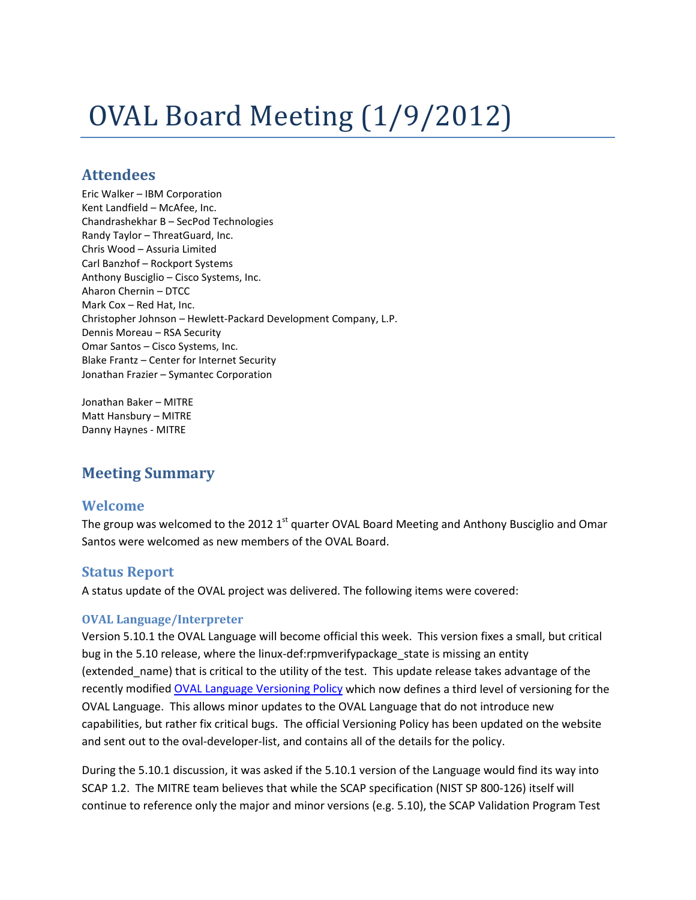# OVAL Board Meeting (1/9/2012)

## **Attendees**

Eric Walker – IBM Corporation Kent Landfield – McAfee, Inc. Chandrashekhar B – SecPod Technologies Randy Taylor – ThreatGuard, Inc. Chris Wood – Assuria Limited Carl Banzhof – Rockport Systems Anthony Busciglio – Cisco Systems, Inc. Aharon Chernin – DTCC Mark Cox – Red Hat, Inc. Christopher Johnson – Hewlett-Packard Development Company, L.P. Dennis Moreau – RSA Security Omar Santos – Cisco Systems, Inc. Blake Frantz – Center for Internet Security Jonathan Frazier – Symantec Corporation

Jonathan Baker – MITRE Matt Hansbury – MITRE Danny Haynes - MITRE

# **Meeting Summary**

## **Welcome**

The group was welcomed to the 2012 1<sup>st</sup> quarter OVAL Board Meeting and Anthony Busciglio and Omar Santos were welcomed as new members of the OVAL Board.

## **Status Report**

A status update of the OVAL project was delivered. The following items were covered:

#### **OVAL Language/Interpreter**

Version 5.10.1 the OVAL Language will become official this week. This version fixes a small, but critical bug in the 5.10 release, where the linux-def:rpmverifypackage\_state is missing an entity (extended\_name) that is critical to the utility of the test. This update release takes advantage of the recently modified [OVAL Language Versioning Policy](http://ovaldev1.mitre.org/language/about/versioning.html) which now defines a third level of versioning for the OVAL Language. This allows minor updates to the OVAL Language that do not introduce new capabilities, but rather fix critical bugs. The official Versioning Policy has been updated on the website and sent out to the oval-developer-list, and contains all of the details for the policy.

During the 5.10.1 discussion, it was asked if the 5.10.1 version of the Language would find its way into SCAP 1.2. The MITRE team believes that while the SCAP specification (NIST SP 800-126) itself will continue to reference only the major and minor versions (e.g. 5.10), the SCAP Validation Program Test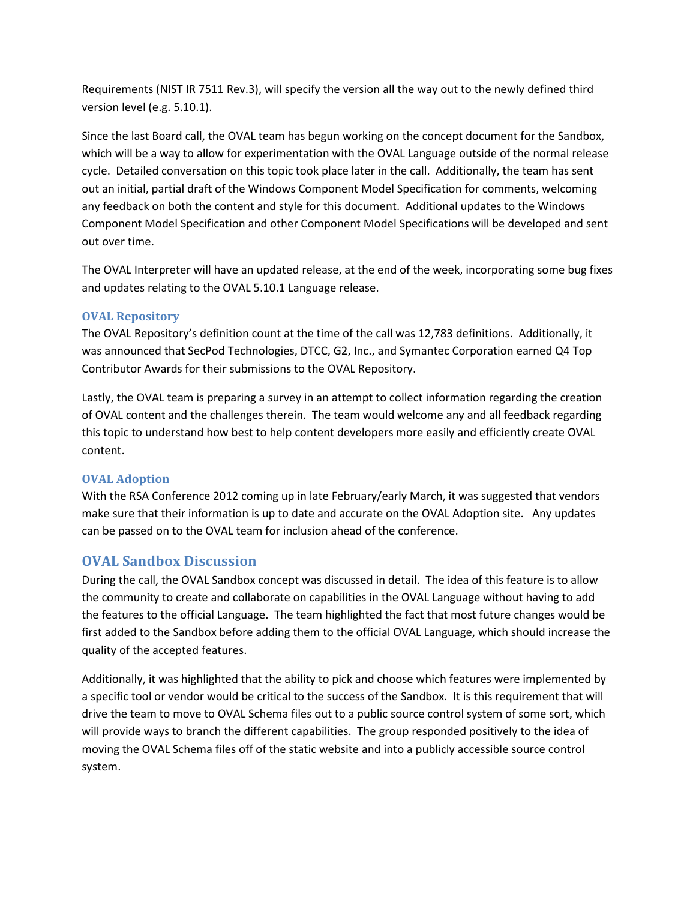Requirements (NIST IR 7511 Rev.3), will specify the version all the way out to the newly defined third version level (e.g. 5.10.1).

Since the last Board call, the OVAL team has begun working on the concept document for the Sandbox, which will be a way to allow for experimentation with the OVAL Language outside of the normal release cycle. Detailed conversation on this topic took place later in the call. Additionally, the team has sent out an initial, partial draft of the Windows Component Model Specification for comments, welcoming any feedback on both the content and style for this document. Additional updates to the Windows Component Model Specification and other Component Model Specifications will be developed and sent out over time.

The OVAL Interpreter will have an updated release, at the end of the week, incorporating some bug fixes and updates relating to the OVAL 5.10.1 Language release.

#### **OVAL Repository**

The OVAL Repository's definition count at the time of the call was 12,783 definitions. Additionally, it was announced that SecPod Technologies, DTCC, G2, Inc., and Symantec Corporation earned Q4 Top Contributor Awards for their submissions to the OVAL Repository.

Lastly, the OVAL team is preparing a survey in an attempt to collect information regarding the creation of OVAL content and the challenges therein. The team would welcome any and all feedback regarding this topic to understand how best to help content developers more easily and efficiently create OVAL content.

#### **OVAL Adoption**

With the RSA Conference 2012 coming up in late February/early March, it was suggested that vendors make sure that their information is up to date and accurate on the OVAL Adoption site. Any updates can be passed on to the OVAL team for inclusion ahead of the conference.

## **OVAL Sandbox Discussion**

During the call, the OVAL Sandbox concept was discussed in detail. The idea of this feature is to allow the community to create and collaborate on capabilities in the OVAL Language without having to add the features to the official Language. The team highlighted the fact that most future changes would be first added to the Sandbox before adding them to the official OVAL Language, which should increase the quality of the accepted features.

Additionally, it was highlighted that the ability to pick and choose which features were implemented by a specific tool or vendor would be critical to the success of the Sandbox. It is this requirement that will drive the team to move to OVAL Schema files out to a public source control system of some sort, which will provide ways to branch the different capabilities. The group responded positively to the idea of moving the OVAL Schema files off of the static website and into a publicly accessible source control system.